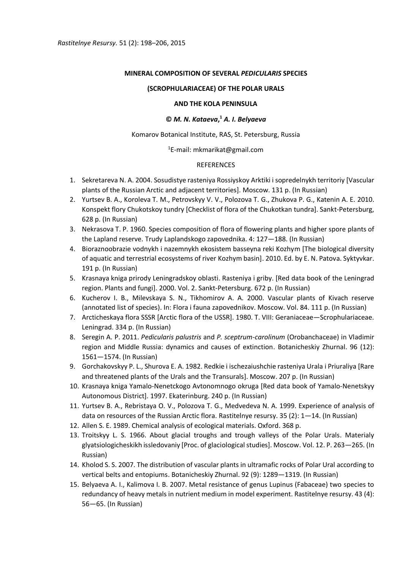# **MINERAL COMPOSITION OF SEVERAL** *PEDICULARIS* **SPECIES**

#### **(SCROPHULARIACEAE) OF THE POLAR URALS**

#### **AND THE KOLA PENINSULA**

# **©** *M. N. Kataeva***, <sup>1</sup>** *A. I. Belyaeva*

### Komarov Botanical Institute, RAS, St. Petersburg, Russia

### <sup>1</sup>E-mail: mkmarikat@gmail.com

# REFERENCES

- 1. Sekretareva N. A. 2004. Sosudistye rasteniya Rossiyskoy Arktiki i sopredelnykh territoriy [Vascular plants of the Russian Arctic and adjacent territories]. Мoscow. 131 p. (In Russian)
- 2. Yurtsev B. A., Koroleva T. M., Petrovskyy V. V., Polozova T. G., Zhukova P. G., Katenin A. E. 2010. Konspekt flory Chukotskoy tundry [Checklist of flora of the Chukotkan tundra]. Sankt-Petersburg, 628 p. (In Russian)
- 3. Nekrasova T. P. 1960. Species composition of flora of flowering plants and higher spore plants of the Lapland reserve. Trudy Laplandskogo zapovednika. 4: 127—188. (In Russian)
- 4. Bioraznoobrazie vodnykh i nazemnykh ekosistem basseyna reki Kozhym [The biological diversity of aquatic and terrestrial ecosystems of river Kozhym basin]. 2010. Ed. by E. N. Patova. Syktyvkar. 191 p. (In Russian)
- 5. Krasnaya kniga prirody Leningradskoy oblasti. Rasteniya i griby. [Red data book of the Leningrad region. Plants and fungi]. 2000. Vol. 2. Sankt-Petersburg. 672 p. (In Russian)
- 6. Kucherov I. B., Milevskaya S. N., Tikhomirov A. A. 2000. Vascular plants of Kivach reserve (annotated list of species). In: Flora i fauna zapovednikov. Moscow. Vol. 84. 111 p. (In Russian)
- 7. Arcticheskaya flora SSSR [Arctic flora of the USSR]. 1980. Т. VIII: Geraniaceae—Scrophulariaceae. Leningrad. 334 p. (In Russian)
- 8. Seregin A. P. 2011. *Pedicularis palustris* and *P. sceptrum-carolinum* (Orobanchaceae) in Vladimir region and Middle Russia: dynamics and causes of extinction. Botanicheskiy Zhurnal. 96 (12): 1561—1574. (In Russian)
- 9. Gorchakovskyy P. L., Shurova E. A. 1982. Redkie i ischezaiushchie rasteniya Urala i Priuraliya [Rare and threatened plants of the Urals and the Transurals]. Moscow. 207 p. (In Russian)
- 10. Krasnaya kniga Yamalo-Nenetckogo Avtonomnogo okruga [Red data book of Yamalo-Nenetskyy Autonomous District]. 1997. Ekaterinburg. 240 p. (In Russian)
- 11. Yurtsev B. A., Rebristaya O. V., Polozova T. G., Medvedeva N. A. 1999. Experience of analysis of data on resources of the Russian Arctic flora. Rastitelnye resursy. 35 (2): 1—14. (In Russian)
- 12. Allen S. E. 1989. Chemical analysis of ecological materials. Oxford. 368 p.
- 13. Troitskyy L. S. 1966. About glacial troughs and trough valleys of the Polar Urals. Materialy glyatsiologicheskikh issledovaniy [Proc. of glaciological studies]. Moscow. Vol. 12. P. 263—265. (In Russian)
- 14. Kholod S. S. 2007. The distribution of vascular plants in ultramafic rocks of Polar Ural according to vertical belts and entopiums. Botanicheskiy Zhurnal. 92 (9): 1289—1319. (In Russian)
- 15. Belyaeva A. I., Kalimova I. B. 2007. Metal resistance of genus Lupinus (Fabaceae) two species to redundancy of heavy metals in nutrient medium in model experiment. Rastitelnye resursy. 43 (4): 56—65. (In Russian)